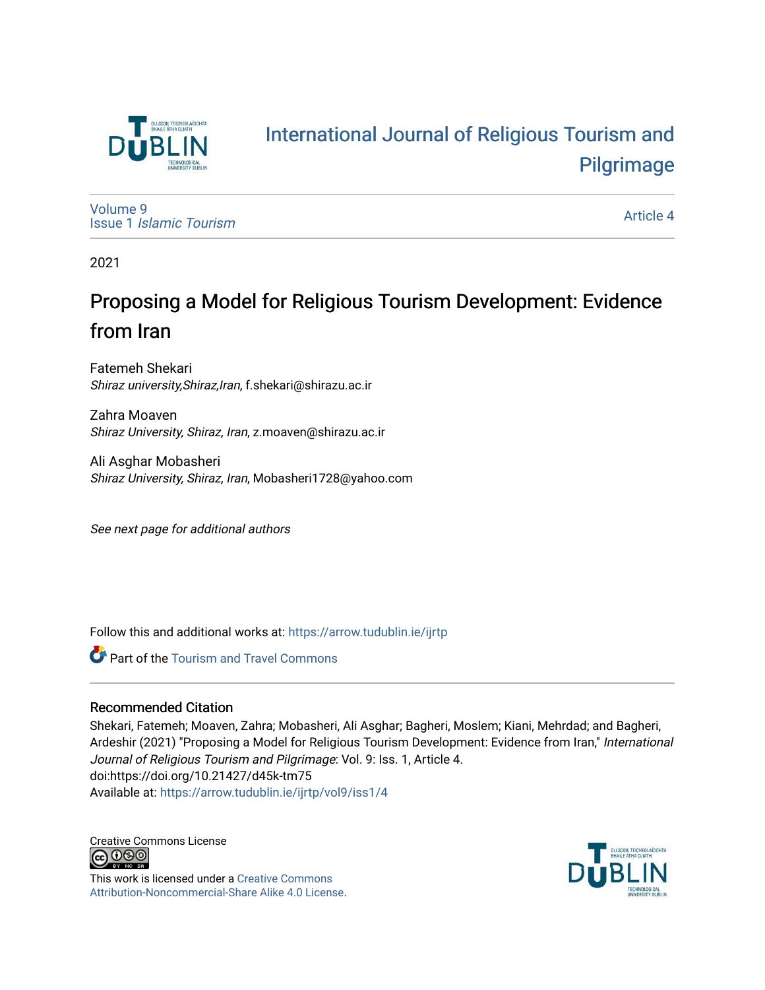

# [International Journal of Religious Tourism and](https://arrow.tudublin.ie/ijrtp)  [Pilgrimage](https://arrow.tudublin.ie/ijrtp)

[Volume 9](https://arrow.tudublin.ie/ijrtp/vol9) Issue 1 [Islamic Tourism](https://arrow.tudublin.ie/ijrtp/vol9/iss1)

[Article 4](https://arrow.tudublin.ie/ijrtp/vol9/iss1/4) 

2021

# Proposing a Model for Religious Tourism Development: Evidence from Iran

Fatemeh Shekari Shiraz university,Shiraz,Iran, f.shekari@shirazu.ac.ir

Zahra Moaven Shiraz University, Shiraz, Iran, z.moaven@shirazu.ac.ir

Ali Asghar Mobasheri Shiraz University, Shiraz, Iran, Mobasheri1728@yahoo.com

See next page for additional authors

Follow this and additional works at: [https://arrow.tudublin.ie/ijrtp](https://arrow.tudublin.ie/ijrtp?utm_source=arrow.tudublin.ie%2Fijrtp%2Fvol9%2Fiss1%2F4&utm_medium=PDF&utm_campaign=PDFCoverPages)

**C** Part of the [Tourism and Travel Commons](http://network.bepress.com/hgg/discipline/1082?utm_source=arrow.tudublin.ie%2Fijrtp%2Fvol9%2Fiss1%2F4&utm_medium=PDF&utm_campaign=PDFCoverPages)

# Recommended Citation

Shekari, Fatemeh; Moaven, Zahra; Mobasheri, Ali Asghar; Bagheri, Moslem; Kiani, Mehrdad; and Bagheri, Ardeshir (2021) "Proposing a Model for Religious Tourism Development: Evidence from Iran," International Journal of Religious Tourism and Pilgrimage: Vol. 9: Iss. 1, Article 4. doi:https://doi.org/10.21427/d45k-tm75 Available at: [https://arrow.tudublin.ie/ijrtp/vol9/iss1/4](https://arrow.tudublin.ie/ijrtp/vol9/iss1/4?utm_source=arrow.tudublin.ie%2Fijrtp%2Fvol9%2Fiss1%2F4&utm_medium=PDF&utm_campaign=PDFCoverPages)

Creative Commons License **@** 000

This work is licensed under a [Creative Commons](https://creativecommons.org/licenses/by-nc-sa/4.0/) [Attribution-Noncommercial-Share Alike 4.0 License](https://creativecommons.org/licenses/by-nc-sa/4.0/).

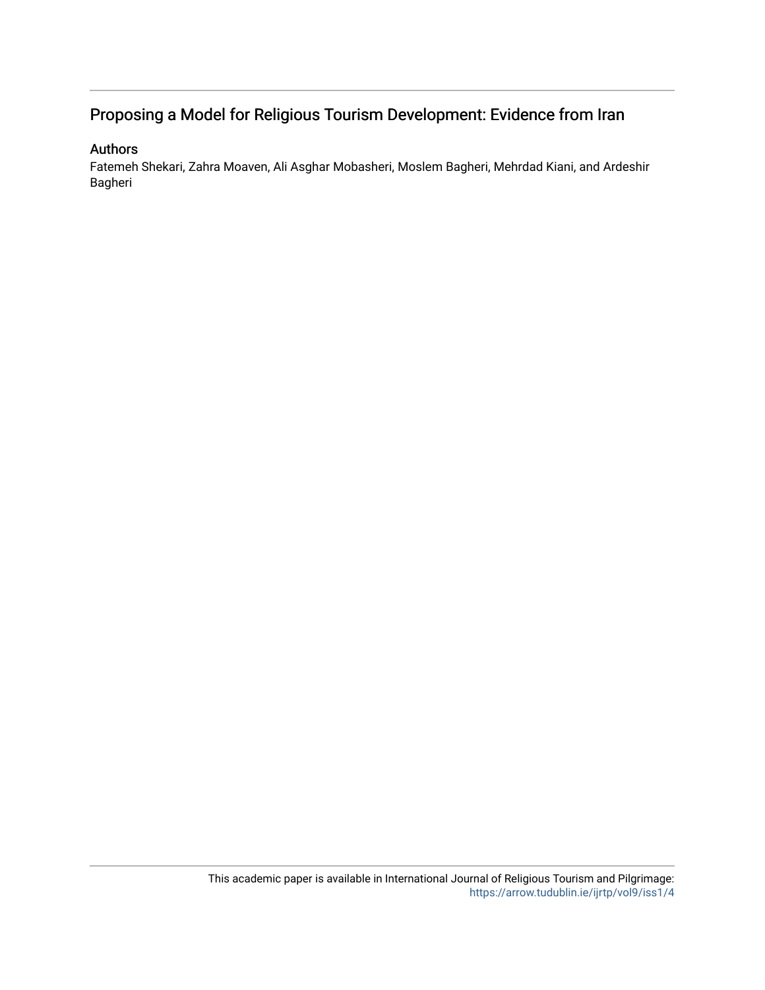# Proposing a Model for Religious Tourism Development: Evidence from Iran

## Authors

Fatemeh Shekari, Zahra Moaven, Ali Asghar Mobasheri, Moslem Bagheri, Mehrdad Kiani, and Ardeshir Bagheri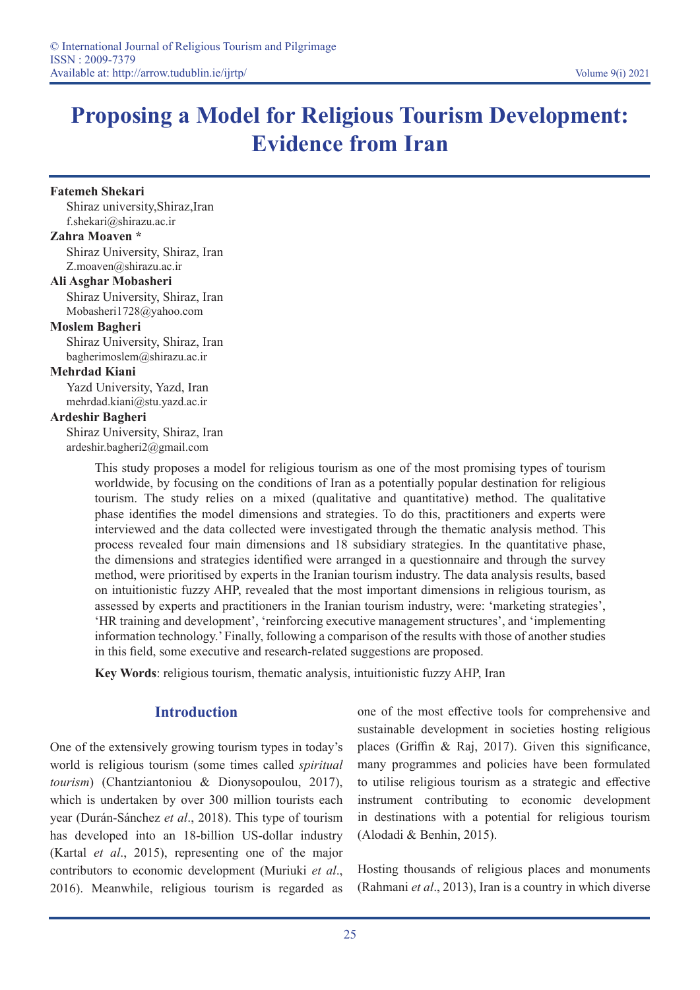# **Proposing a Model for Religious Tourism Development: Evidence from Iran**

#### **Fatemeh Shekari**

Shiraz university,Shiraz,Iran f.shekari@shirazu.ac.ir

#### **Zahra Moaven \***

Shiraz University, Shiraz, Iran Z.moaven@shirazu.ac.ir

#### **Ali Asghar Mobasheri**

Shiraz University, Shiraz, Iran Mobasheri1728@yahoo.com

#### **Moslem Bagheri**

Shiraz University, Shiraz, Iran bagherimoslem@shirazu.ac.ir

#### **Mehrdad Kiani**

Yazd University, Yazd, Iran mehrdad.kiani@stu.yazd.ac.ir

## **Ardeshir Bagheri**

Shiraz University, Shiraz, Iran ardeshir.bagheri2@gmail.com

> This study proposes a model for religious tourism as one of the most promising types of tourism worldwide, by focusing on the conditions of Iran as a potentially popular destination for religious tourism. The study relies on a mixed (qualitative and quantitative) method. The qualitative phase identifies the model dimensions and strategies. To do this, practitioners and experts were interviewed and the data collected were investigated through the thematic analysis method. This process revealed four main dimensions and 18 subsidiary strategies. In the quantitative phase, the dimensions and strategies identified were arranged in a questionnaire and through the survey method, were prioritised by experts in the Iranian tourism industry. The data analysis results, based on intuitionistic fuzzy AHP, revealed that the most important dimensions in religious tourism, as assessed by experts and practitioners in the Iranian tourism industry, were: 'marketing strategies', 'HR training and development', 'reinforcing executive management structures', and 'implementing information technology.' Finally, following a comparison of the results with those of another studies in this field, some executive and research-related suggestions are proposed.

**Key Words**: religious tourism, thematic analysis, intuitionistic fuzzy AHP, Iran

# **Introduction**

One of the extensively growing tourism types in today's world is religious tourism (some times called *spiritual tourism*) (Chantziantoniou & Dionysopoulou, 2017), which is undertaken by over 300 million tourists each year (Durán-Sánchez *et al*., 2018). This type of tourism has developed into an 18-billion US-dollar industry (Kartal *et al*., 2015), representing one of the major contributors to economic development (Muriuki *et al*., 2016). Meanwhile, religious tourism is regarded as

one of the most effective tools for comprehensive and sustainable development in societies hosting religious places (Griffin & Raj, 2017). Given this significance, many programmes and policies have been formulated to utilise religious tourism as a strategic and effective instrument contributing to economic development in destinations with a potential for religious tourism (Alodadi & Benhin, 2015).

Hosting thousands of religious places and monuments (Rahmani *et al*., 2013), Iran is a country in which diverse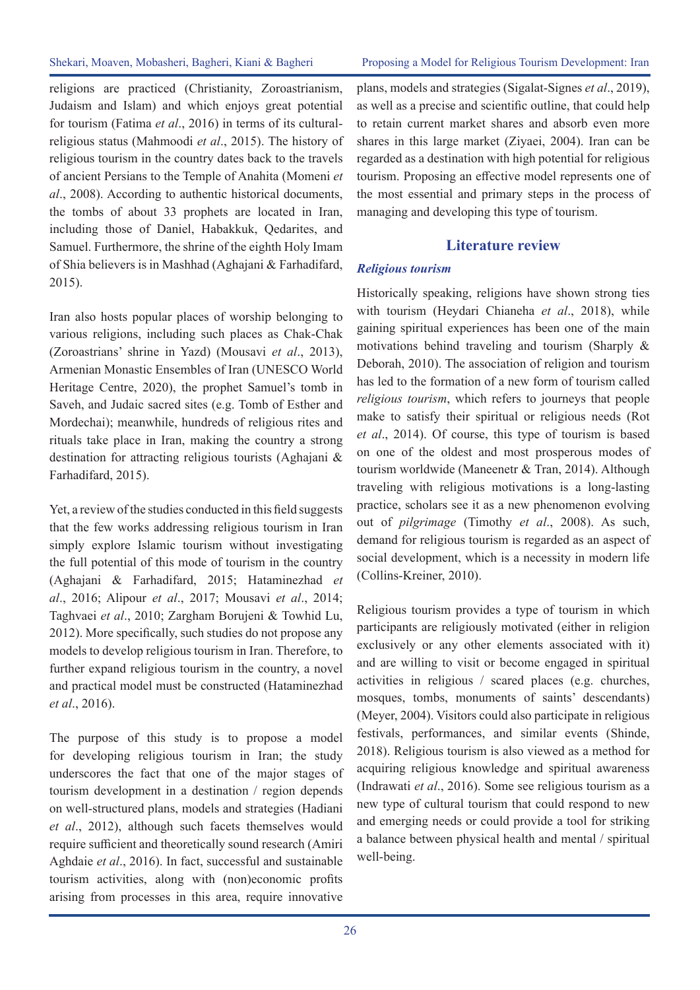religions are practiced (Christianity, Zoroastrianism, Judaism and Islam) and which enjoys great potential for tourism (Fatima *et al*., 2016) in terms of its culturalreligious status (Mahmoodi *et al*., 2015). The history of religious tourism in the country dates back to the travels of ancient Persians to the Temple of Anahita (Momeni *et al*., 2008). According to authentic historical documents, the tombs of about 33 prophets are located in Iran, including those of Daniel, Habakkuk, Qedarites, and Samuel. Furthermore, the shrine of the eighth Holy Imam of Shia believers is in Mashhad (Aghajani & Farhadifard, 2015).

Iran also hosts popular places of worship belonging to various religions, including such places as Chak-Chak (Zoroastrians' shrine in Yazd) (Mousavi *et al*., 2013), Armenian Monastic Ensembles of Iran (UNESCO World Heritage Centre, 2020), the prophet Samuel's tomb in Saveh, and Judaic sacred sites (e.g. Tomb of Esther and Mordechai); meanwhile, hundreds of religious rites and rituals take place in Iran, making the country a strong destination for attracting religious tourists (Aghajani & Farhadifard, 2015).

Yet, a review of the studies conducted in this field suggests that the few works addressing religious tourism in Iran simply explore Islamic tourism without investigating the full potential of this mode of tourism in the country (Aghajani & Farhadifard, 2015; Hataminezhad *et al*., 2016; Alipour *et al*., 2017; Mousavi *et al*., 2014; Taghvaei *et al*., 2010; Zargham Borujeni & Towhid Lu, 2012). More specifically, such studies do not propose any models to develop religious tourism in Iran. Therefore, to further expand religious tourism in the country, a novel and practical model must be constructed (Hataminezhad *et al*., 2016).

The purpose of this study is to propose a model for developing religious tourism in Iran; the study underscores the fact that one of the major stages of tourism development in a destination / region depends on well-structured plans, models and strategies (Hadiani *et al*., 2012), although such facets themselves would require sufficient and theoretically sound research (Amiri Aghdaie *et al*., 2016). In fact, successful and sustainable tourism activities, along with (non)economic profits arising from processes in this area, require innovative plans, models and strategies (Sigalat-Signes *et al*., 2019), as well as a precise and scientific outline, that could help to retain current market shares and absorb even more shares in this large market (Ziyaei, 2004). Iran can be regarded as a destination with high potential for religious tourism. Proposing an effective model represents one of the most essential and primary steps in the process of managing and developing this type of tourism.

# **Literature review**

# *Religious tourism*

Historically speaking, religions have shown strong ties with tourism (Heydari Chianeha *et al*., 2018), while gaining spiritual experiences has been one of the main motivations behind traveling and tourism (Sharply & Deborah, 2010). The association of religion and tourism has led to the formation of a new form of tourism called *religious tourism*, which refers to journeys that people make to satisfy their spiritual or religious needs (Rot *et al*., 2014). Of course, this type of tourism is based on one of the oldest and most prosperous modes of tourism worldwide (Maneenetr & Tran, 2014). Although traveling with religious motivations is a long-lasting practice, scholars see it as a new phenomenon evolving out of *pilgrimage* (Timothy *et al*., 2008). As such, demand for religious tourism is regarded as an aspect of social development, which is a necessity in modern life (Collins-Kreiner, 2010).

Religious tourism provides a type of tourism in which participants are religiously motivated (either in religion exclusively or any other elements associated with it) and are willing to visit or become engaged in spiritual activities in religious / scared places (e.g. churches, mosques, tombs, monuments of saints' descendants) (Meyer, 2004). Visitors could also participate in religious festivals, performances, and similar events (Shinde, 2018). Religious tourism is also viewed as a method for acquiring religious knowledge and spiritual awareness (Indrawati *et al*., 2016). Some see religious tourism as a new type of cultural tourism that could respond to new and emerging needs or could provide a tool for striking a balance between physical health and mental / spiritual well-being.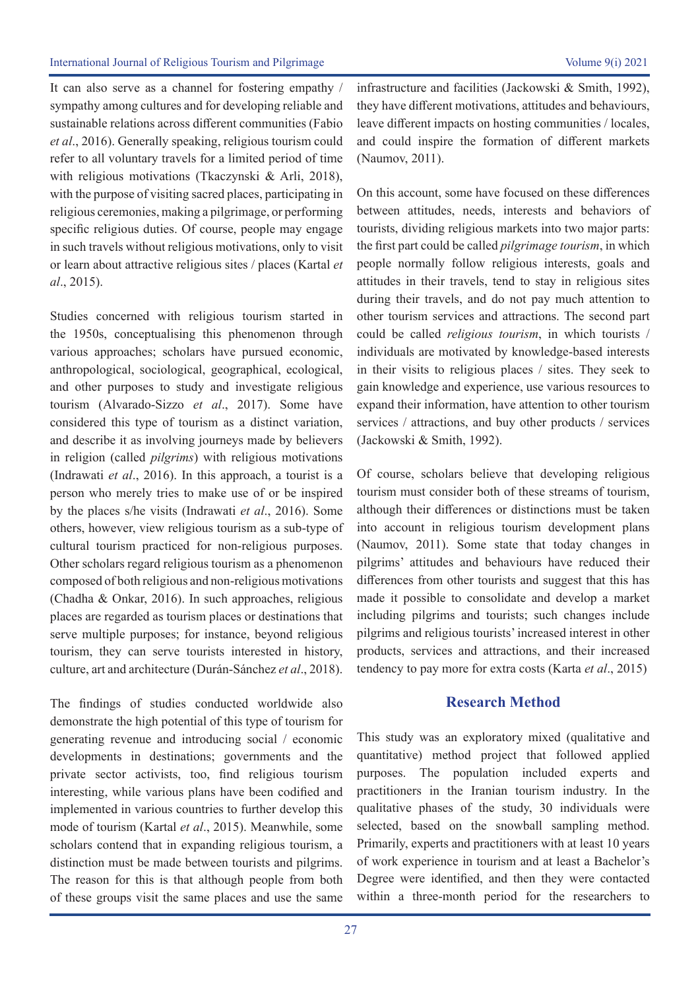It can also serve as a channel for fostering empathy / sympathy among cultures and for developing reliable and sustainable relations across different communities (Fabio *et al*., 2016). Generally speaking, religious tourism could refer to all voluntary travels for a limited period of time with religious motivations (Tkaczynski & Arli, 2018), with the purpose of visiting sacred places, participating in religious ceremonies, making a pilgrimage, or performing specific religious duties. Of course, people may engage in such travels without religious motivations, only to visit or learn about attractive religious sites / places (Kartal *et al*., 2015).

Studies concerned with religious tourism started in the 1950s, conceptualising this phenomenon through various approaches; scholars have pursued economic, anthropological, sociological, geographical, ecological, and other purposes to study and investigate religious tourism (Alvarado-Sizzo *et al*., 2017). Some have considered this type of tourism as a distinct variation, and describe it as involving journeys made by believers in religion (called *pilgrims*) with religious motivations (Indrawati *et al*., 2016). In this approach, a tourist is a person who merely tries to make use of or be inspired by the places s/he visits (Indrawati *et al*., 2016). Some others, however, view religious tourism as a sub-type of cultural tourism practiced for non-religious purposes. Other scholars regard religious tourism as a phenomenon composed of both religious and non-religious motivations (Chadha & Onkar, 2016). In such approaches, religious places are regarded as tourism places or destinations that serve multiple purposes; for instance, beyond religious tourism, they can serve tourists interested in history, culture, art and architecture (Durán-Sánchez *et al*., 2018).

The findings of studies conducted worldwide also demonstrate the high potential of this type of tourism for generating revenue and introducing social / economic developments in destinations; governments and the private sector activists, too, find religious tourism interesting, while various plans have been codified and implemented in various countries to further develop this mode of tourism (Kartal *et al*., 2015). Meanwhile, some scholars contend that in expanding religious tourism, a distinction must be made between tourists and pilgrims. The reason for this is that although people from both of these groups visit the same places and use the same

infrastructure and facilities (Jackowski & Smith, 1992), they have different motivations, attitudes and behaviours, leave different impacts on hosting communities / locales, and could inspire the formation of different markets (Naumov, 2011).

On this account, some have focused on these differences between attitudes, needs, interests and behaviors of tourists, dividing religious markets into two major parts: the first part could be called *pilgrimage tourism*, in which people normally follow religious interests, goals and attitudes in their travels, tend to stay in religious sites during their travels, and do not pay much attention to other tourism services and attractions. The second part could be called *religious tourism*, in which tourists / individuals are motivated by knowledge-based interests in their visits to religious places / sites. They seek to gain knowledge and experience, use various resources to expand their information, have attention to other tourism services / attractions, and buy other products / services (Jackowski & Smith, 1992).

Of course, scholars believe that developing religious tourism must consider both of these streams of tourism, although their differences or distinctions must be taken into account in religious tourism development plans (Naumov, 2011). Some state that today changes in pilgrims' attitudes and behaviours have reduced their differences from other tourists and suggest that this has made it possible to consolidate and develop a market including pilgrims and tourists; such changes include pilgrims and religious tourists' increased interest in other products, services and attractions, and their increased tendency to pay more for extra costs (Karta *et al*., 2015)

# **Research Method**

This study was an exploratory mixed (qualitative and quantitative) method project that followed applied purposes. The population included experts and practitioners in the Iranian tourism industry. In the qualitative phases of the study, 30 individuals were selected, based on the snowball sampling method. Primarily, experts and practitioners with at least 10 years of work experience in tourism and at least a Bachelor's Degree were identified, and then they were contacted within a three-month period for the researchers to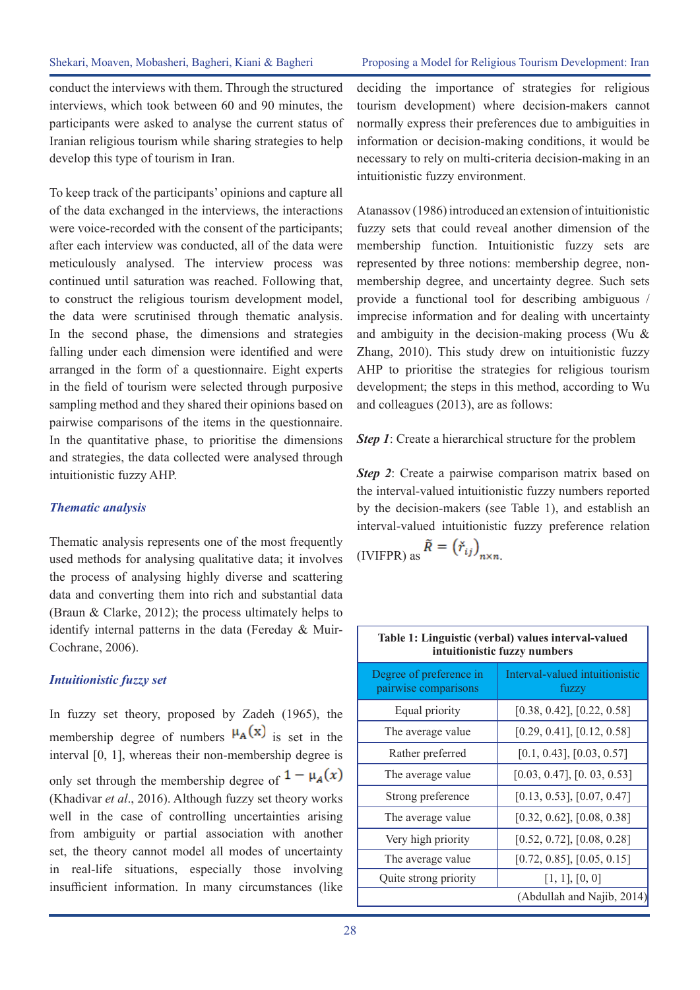conduct the interviews with them. Through the structured interviews, which took between 60 and 90 minutes, the participants were asked to analyse the current status of Iranian religious tourism while sharing strategies to help develop this type of tourism in Iran.

To keep track of the participants' opinions and capture all of the data exchanged in the interviews, the interactions were voice-recorded with the consent of the participants; after each interview was conducted, all of the data were meticulously analysed. The interview process was continued until saturation was reached. Following that, to construct the religious tourism development model, the data were scrutinised through thematic analysis. In the second phase, the dimensions and strategies falling under each dimension were identified and were arranged in the form of a questionnaire. Eight experts in the field of tourism were selected through purposive sampling method and they shared their opinions based on pairwise comparisons of the items in the questionnaire. In the quantitative phase, to prioritise the dimensions and strategies, the data collected were analysed through intuitionistic fuzzy AHP.

#### *Thematic analysis*

Thematic analysis represents one of the most frequently used methods for analysing qualitative data; it involves the process of analysing highly diverse and scattering data and converting them into rich and substantial data (Braun & Clarke, 2012); the process ultimately helps to identify internal patterns in the data (Fereday & Muir-Cochrane, 2006).

## *Intuitionistic fuzzy set*

In fuzzy set theory, proposed by Zadeh (1965), the membership degree of numbers  $\mu_A(x)$  is set in the interval [0, 1], whereas their non-membership degree is only set through the membership degree of  $1 - \mu_A(x)$ (Khadivar *et al*., 2016). Although fuzzy set theory works well in the case of controlling uncertainties arising from ambiguity or partial association with another set, the theory cannot model all modes of uncertainty in real-life situations, especially those involving insufficient information. In many circumstances (like deciding the importance of strategies for religious tourism development) where decision-makers cannot normally express their preferences due to ambiguities in information or decision-making conditions, it would be necessary to rely on multi-criteria decision-making in an intuitionistic fuzzy environment.

Atanassov (1986) introduced an extension of intuitionistic fuzzy sets that could reveal another dimension of the membership function. Intuitionistic fuzzy sets are represented by three notions: membership degree, nonmembership degree, and uncertainty degree. Such sets provide a functional tool for describing ambiguous / imprecise information and for dealing with uncertainty and ambiguity in the decision-making process (Wu & Zhang, 2010). This study drew on intuitionistic fuzzy AHP to prioritise the strategies for religious tourism development; the steps in this method, according to Wu and colleagues (2013), are as follows:

*Step 1*: Create a hierarchical structure for the problem

*Step 2*: Create a pairwise comparison matrix based on the interval-valued intuitionistic fuzzy numbers reported by the decision-makers (see Table 1), and establish an interval-valued intuitionistic fuzzy preference relation (IVIFPR) as  $\tilde{R} = (\tilde{r}_{ij})_{n \times n}$ .

| Table 1: Linguistic (verbal) values interval-valued<br>intuitionistic fuzzy numbers |                                         |  |  |  |  |  |  |  |
|-------------------------------------------------------------------------------------|-----------------------------------------|--|--|--|--|--|--|--|
| Degree of preference in<br>pairwise comparisons                                     | Interval-valued intuitionistic<br>fuzzy |  |  |  |  |  |  |  |
| Equal priority                                                                      | [0.38, 0.42], [0.22, 0.58]              |  |  |  |  |  |  |  |
| The average value                                                                   | [0.29, 0.41], [0.12, 0.58]              |  |  |  |  |  |  |  |
| Rather preferred                                                                    | [0.1, 0.43], [0.03, 0.57]               |  |  |  |  |  |  |  |
| The average value                                                                   | [0.03, 0.47], [0.03, 0.53]              |  |  |  |  |  |  |  |
| Strong preference                                                                   | [0.13, 0.53], [0.07, 0.47]              |  |  |  |  |  |  |  |
| The average value                                                                   | $[0.32, 0.62]$ , $[0.08, 0.38]$         |  |  |  |  |  |  |  |
| Very high priority                                                                  | $[0.52, 0.72]$ , $[0.08, 0.28]$         |  |  |  |  |  |  |  |
| The average value                                                                   | [0.72, 0.85], [0.05, 0.15]              |  |  |  |  |  |  |  |
| Quite strong priority                                                               | [1, 1], [0, 0]                          |  |  |  |  |  |  |  |
|                                                                                     | (Abdullah and Najib, 2014)              |  |  |  |  |  |  |  |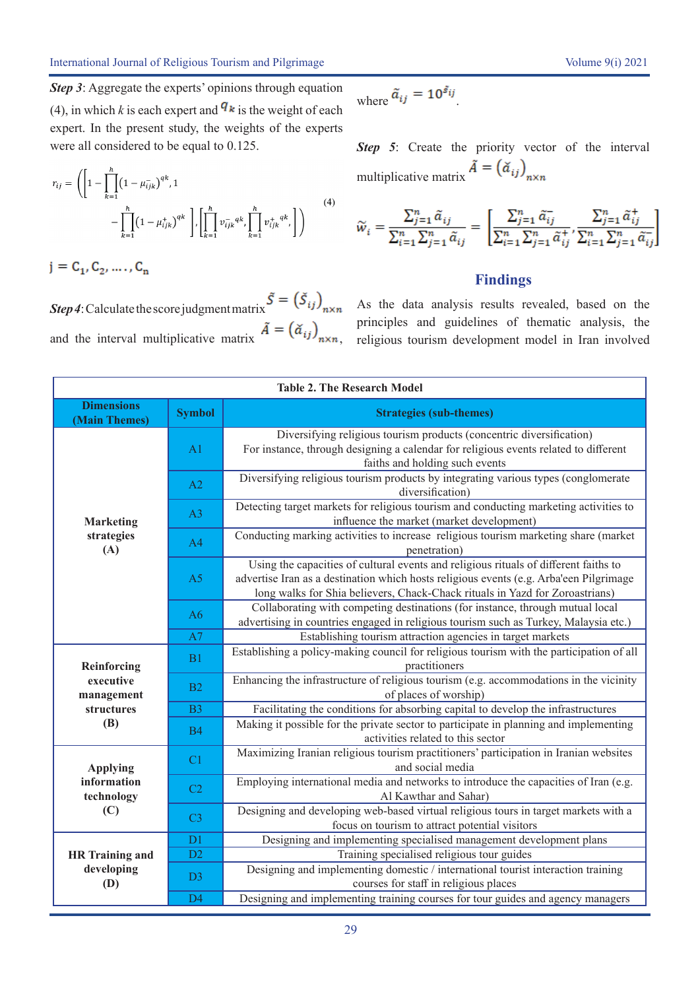*Step 3*: Aggregate the experts' opinions through equation (4), in which *k* is each expert and  $\mathbf{q}_k$  is the weight of each expert. In the present study, the weights of the experts were all considered to be equal to 0.125.

$$
r_{ij} = \left( \left[ 1 - \prod_{k=1}^{h} \left( 1 - \mu_{ijk} \right)^{qk}, 1 - \prod_{k=1}^{h} \left( 1 - \mu_{ijk}^{+} \right)^{qk} \right], \left[ \prod_{k=1}^{h} v_{ijk}^{-} \right]^{qk}, \prod_{k=1}^{h} v_{ijk}^{+} \right]^{qk}
$$
\n
$$
(4)
$$

 $j = C_1, C_2, ..., C_n$ 

**Step 4**: Calculate the score judgment matrix  $S = (S_{ij})_{n \times n}$  As the data analysis results revealed, based on the and the interval multiplicative matrix  $\tilde{A} = (\tilde{\alpha}_{ij})_{n \times n}$ ,

where 
$$
\tilde{a}_{ij} = 10^{\tilde{s}_{ij}}
$$

**Step 5:** Create the priority vector of the interval multiplicative matrix  $\tilde{A} = (\check{a}_{ij})_{n \times n}$ 

$$
\widetilde{w}_i = \frac{\sum_{j=1}^n \widetilde{\alpha}_{ij}}{\sum_{i=1}^n \sum_{j=1}^n \widetilde{\alpha}_{ij}} = \left[ \frac{\sum_{j=1}^n \widetilde{\alpha}_{ij}}{\sum_{i=1}^n \sum_{j=1}^n \widetilde{\alpha}_{ij}} \frac{\sum_{j=1}^n \widetilde{\alpha}_{ij}}{\sum_{i=1}^n \sum_{j=1}^n \widetilde{\alpha}_{ij}} \right]
$$

# **Findings**

principles and guidelines of thematic analysis, the religious tourism development model in Iran involved

|                                    |                | <b>Table 2. The Research Model</b>                                                                                                                                                                                                                             |
|------------------------------------|----------------|----------------------------------------------------------------------------------------------------------------------------------------------------------------------------------------------------------------------------------------------------------------|
| <b>Dimensions</b><br>(Main Themes) | <b>Symbol</b>  | <b>Strategies (sub-themes)</b>                                                                                                                                                                                                                                 |
|                                    | A <sub>1</sub> | Diversifying religious tourism products (concentric diversification)<br>For instance, through designing a calendar for religious events related to different<br>faiths and holding such events                                                                 |
|                                    | A2             | Diversifying religious tourism products by integrating various types (conglomerate<br>diversification)                                                                                                                                                         |
| <b>Marketing</b>                   | A <sub>3</sub> | Detecting target markets for religious tourism and conducting marketing activities to<br>influence the market (market development)                                                                                                                             |
| strategies<br>(A)                  | A <sub>4</sub> | Conducting marking activities to increase religious tourism marketing share (market<br>penetration)                                                                                                                                                            |
|                                    | A <sub>5</sub> | Using the capacities of cultural events and religious rituals of different faiths to<br>advertise Iran as a destination which hosts religious events (e.g. Arba'een Pilgrimage<br>long walks for Shia believers, Chack-Chack rituals in Yazd for Zoroastrians) |
|                                    | A6             | Collaborating with competing destinations (for instance, through mutual local<br>advertising in countries engaged in religious tourism such as Turkey, Malaysia etc.)                                                                                          |
|                                    | A7             | Establishing tourism attraction agencies in target markets                                                                                                                                                                                                     |
| Reinforcing                        | B1             | Establishing a policy-making council for religious tourism with the participation of all<br>practitioners                                                                                                                                                      |
| executive<br>management            | B2             | Enhancing the infrastructure of religious tourism (e.g. accommodations in the vicinity<br>of places of worship)                                                                                                                                                |
| structures                         | <b>B3</b>      | Facilitating the conditions for absorbing capital to develop the infrastructures                                                                                                                                                                               |
| (B)                                | <b>B4</b>      | Making it possible for the private sector to participate in planning and implementing<br>activities related to this sector                                                                                                                                     |
| <b>Applying</b>                    | C1             | Maximizing Iranian religious tourism practitioners' participation in Iranian websites<br>and social media                                                                                                                                                      |
| information<br>technology          | C <sub>2</sub> | Employing international media and networks to introduce the capacities of Iran (e.g.<br>Al Kawthar and Sahar)                                                                                                                                                  |
| (C)                                | C <sub>3</sub> | Designing and developing web-based virtual religious tours in target markets with a<br>focus on tourism to attract potential visitors                                                                                                                          |
|                                    | D <sub>1</sub> | Designing and implementing specialised management development plans                                                                                                                                                                                            |
| <b>HR</b> Training and             | D2             | Training specialised religious tour guides                                                                                                                                                                                                                     |
| developing<br>(D)                  | D <sub>3</sub> | Designing and implementing domestic / international tourist interaction training<br>courses for staff in religious places                                                                                                                                      |
|                                    | D <sub>4</sub> | Designing and implementing training courses for tour guides and agency managers                                                                                                                                                                                |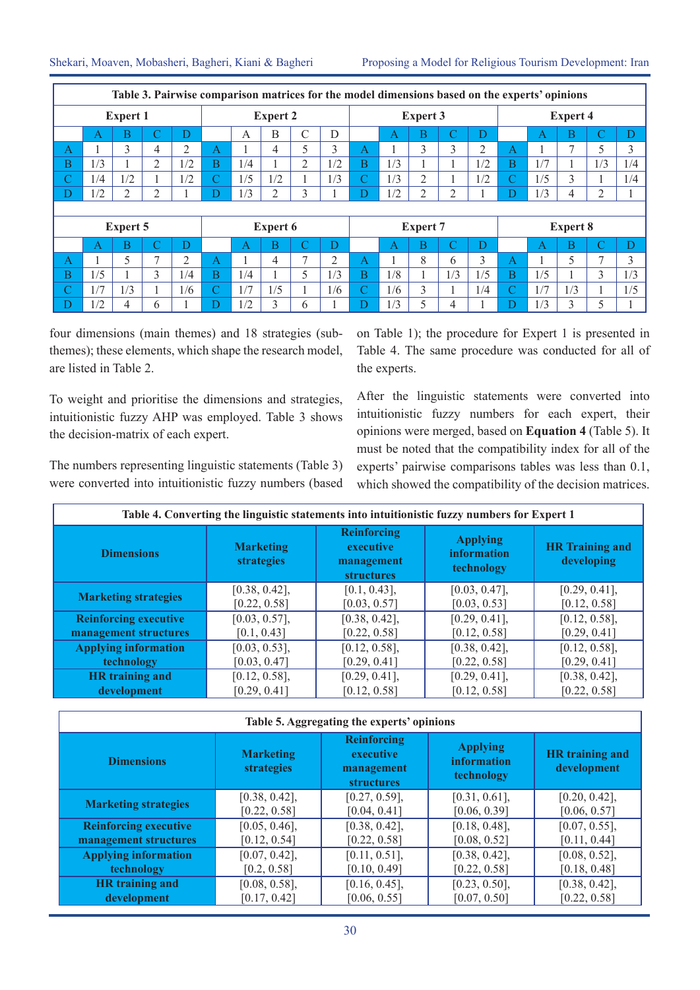|   | Table 3. Pairwise comparison matrices for the model dimensions based on the experts' opinions |                 |   |     |                 |     |                 |                |                |               |                 |                 |                |     |               |                 |                 |     |     |
|---|-----------------------------------------------------------------------------------------------|-----------------|---|-----|-----------------|-----|-----------------|----------------|----------------|---------------|-----------------|-----------------|----------------|-----|---------------|-----------------|-----------------|-----|-----|
|   |                                                                                               | <b>Expert 1</b> |   |     |                 |     | <b>Expert 2</b> |                |                |               |                 | <b>Expert 3</b> |                |     |               |                 | <b>Expert 4</b> |     |     |
|   | $\mathsf{A}$                                                                                  | B               |   | D   |                 | A   | B               | C              | D              |               | A               | B               | С              | D   |               | А               | B               |     | D   |
| A |                                                                                               | 3               | 4 | 2   | A               |     | 4               | 5              | 3              | A             |                 | 3               | 3              | 2   | $\mathsf{A}$  |                 | 7               |     | 3   |
| В | 1/3                                                                                           |                 | 2 | 1/2 | B               | 1/4 |                 | $\overline{2}$ | 1/2            | B             | 1/3             |                 |                | 1/2 | B             | 1/7             |                 | 1/3 | 1/4 |
| С | 1/4                                                                                           | 1/2             |   | 1/2 | C.              | 1/5 | 1/2             |                | 1/3            | $\mathcal{C}$ | 1/3             | 2               |                | 1/2 | $\mathcal{C}$ | 1/5             | 3               |     | 1/4 |
| D | 1/2                                                                                           | $\overline{2}$  | 2 |     | D               | 1/3 | 2               | 3              |                | D             | 1/2             | 2               | $\overline{2}$ |     | D             | 1/3             | 4               | 2   |     |
|   |                                                                                               |                 |   |     |                 |     |                 |                |                |               |                 |                 |                |     |               |                 |                 |     |     |
|   | <b>Expert 5</b>                                                                               |                 |   |     | <b>Expert 6</b> |     |                 |                |                |               | <b>Expert 7</b> |                 |                |     |               | <b>Expert 8</b> |                 |     |     |
|   | $\mathsf{A}$                                                                                  | в               | С | D   |                 | A   | В               | C              | D              |               | A               | B               | C              | D   |               | A               | B               | C   | D   |
| A |                                                                                               | 5               | 7 | 2   | A               |     | 4               | 7              | $\overline{2}$ | A             |                 | 8               | 6              | 3   | $\mathsf{A}$  |                 | 5               |     | 3   |
| B | 1/5                                                                                           |                 | 3 | 1/4 | <sub>B</sub>    | 1/4 |                 | 5              | 1/3            | <sub>B</sub>  | 1/8             |                 | 1/3            | 1/5 | B             | 1/5             |                 | 3   | 1/3 |
| С | 1/7                                                                                           | 1/3             |   | 1/6 | C               | 1/7 | 1/5             |                | 1/6            | $\mathcal{C}$ | 1/6             | 3               |                | 1/4 | $\mathcal{C}$ | 1/7             | 1/3             |     | 1/5 |
|   | 1/2                                                                                           |                 |   |     | D               | 1/2 | 3               |                |                | D             | 1/3             | 5               | 4              |     |               | 1/3             | 3               |     |     |

four dimensions (main themes) and 18 strategies (subthemes); these elements, which shape the research model, are listed in Table 2.

To weight and prioritise the dimensions and strategies, intuitionistic fuzzy AHP was employed. Table 3 shows the decision-matrix of each expert.

The numbers representing linguistic statements (Table 3) were converted into intuitionistic fuzzy numbers (based

on Table 1); the procedure for Expert 1 is presented in Table 4. The same procedure was conducted for all of the experts.

After the linguistic statements were converted into intuitionistic fuzzy numbers for each expert, their opinions were merged, based on **Equation 4** (Table 5). It must be noted that the compatibility index for all of the experts' pairwise comparisons tables was less than 0.1, which showed the compatibility of the decision matrices.

| Table 4. Converting the linguistic statements into intuitionistic fuzzy numbers for Expert 1 |                                  |                                                                    |                                              |                                      |  |  |  |  |  |  |
|----------------------------------------------------------------------------------------------|----------------------------------|--------------------------------------------------------------------|----------------------------------------------|--------------------------------------|--|--|--|--|--|--|
| <b>Dimensions</b>                                                                            | <b>Marketing</b><br>strategies   | <b>Reinforcing</b><br>executive<br>management<br><b>structures</b> | <b>Applying</b><br>information<br>technology | <b>HR</b> Training and<br>developing |  |  |  |  |  |  |
| <b>Marketing strategies</b>                                                                  | $[0.38, 0.42]$ ,<br>[0.22, 0.58] | $[0.1, 0.43]$ ,<br>[0.03, 0.57]                                    | [0.03, 0.47],<br>[0.03, 0.53]                | $[0.29, 0.41]$ ,<br>[0.12, 0.58]     |  |  |  |  |  |  |
| <b>Reinforcing executive</b>                                                                 | [0.03, 0.57],                    | $[0.38, 0.42]$ ,                                                   | $[0.29, 0.41]$ ,                             | [0.12, 0.58],                        |  |  |  |  |  |  |
| management structures                                                                        | [0.1, 0.43]                      | [0.22, 0.58]                                                       | [0.12, 0.58]                                 | [0.29, 0.41]                         |  |  |  |  |  |  |
| <b>Applying information</b>                                                                  | $[0.03, 0.53]$ ,                 | [0.12, 0.58],                                                      | [0.38, 0.42],                                | [0.12, 0.58],                        |  |  |  |  |  |  |
| technology                                                                                   | [0.03, 0.47]                     | [0.29, 0.41]                                                       | [0.22, 0.58]                                 | [0.29, 0.41]                         |  |  |  |  |  |  |
| <b>HR</b> training and                                                                       | [0.12, 0.58],                    | $[0.29, 0.41]$ ,                                                   | $[0.29, 0.41]$ ,                             | $[0.38, 0.42]$ ,                     |  |  |  |  |  |  |
| development                                                                                  | [0.29, 0.41]                     | [0.12, 0.58]                                                       | [0.12, 0.58]                                 | [0.22, 0.58]                         |  |  |  |  |  |  |

| Table 5. Aggregating the experts' opinions |                                       |                                                                    |                                                     |                                       |  |  |  |  |  |  |
|--------------------------------------------|---------------------------------------|--------------------------------------------------------------------|-----------------------------------------------------|---------------------------------------|--|--|--|--|--|--|
| <b>Dimensions</b>                          | <b>Marketing</b><br><i>strategies</i> | <b>Reinforcing</b><br>executive<br>management<br><b>structures</b> | <b>Applying</b><br><i>information</i><br>technology | <b>HR</b> training and<br>development |  |  |  |  |  |  |
| <b>Marketing strategies</b>                | $[0.38, 0.42]$ ,                      | [0.27, 0.59],                                                      | $[0.31, 0.61]$ ,                                    | $[0.20, 0.42]$ ,                      |  |  |  |  |  |  |
|                                            | [0.22, 0.58]                          | [0.04, 0.41]                                                       | [0.06, 0.39]                                        | [0.06, 0.57]                          |  |  |  |  |  |  |
| <b>Reinforcing executive</b>               | [0.05, 0.46],                         | [0.38, 0.42],                                                      | $[0.18, 0.48]$ ,                                    | [0.07, 0.55],                         |  |  |  |  |  |  |
| management structures                      | [0.12, 0.54]                          | [0.22, 0.58]                                                       | [0.08, 0.52]                                        | [0.11, 0.44]                          |  |  |  |  |  |  |
| <b>Applying information</b>                | $[0.07, 0.42]$ ,                      | [0.11, 0.51],                                                      | $[0.38, 0.42]$ ,                                    | [0.08, 0.52],                         |  |  |  |  |  |  |
| technology                                 | [0.2, 0.58]                           | [0.10, 0.49]                                                       | [0.22, 0.58]                                        | [0.18, 0.48]                          |  |  |  |  |  |  |
| <b>HR</b> training and                     | [0.08, 0.58],                         | $[0.16, 0.45]$ ,                                                   | [0.23, 0.50],                                       | $[0.38, 0.42]$ ,                      |  |  |  |  |  |  |
| development                                | [0.17, 0.42]                          | [0.06, 0.55]                                                       | [0.07, 0.50]                                        | [0.22, 0.58]                          |  |  |  |  |  |  |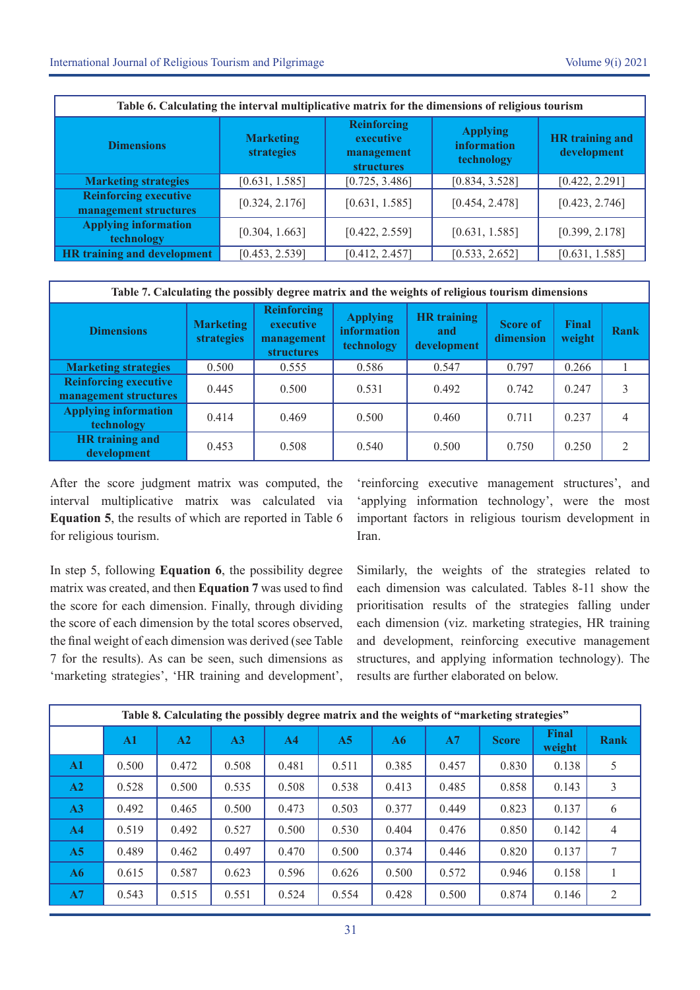| Table 6. Calculating the interval multiplicative matrix for the dimensions of religious tourism |                                |                                                                    |                                              |                                       |  |  |  |  |  |  |
|-------------------------------------------------------------------------------------------------|--------------------------------|--------------------------------------------------------------------|----------------------------------------------|---------------------------------------|--|--|--|--|--|--|
| <b>Dimensions</b>                                                                               | <b>Marketing</b><br>strategies | <b>Reinforcing</b><br>executive<br>management<br><b>structures</b> | <b>Applying</b><br>information<br>technology | <b>HR</b> training and<br>development |  |  |  |  |  |  |
| <b>Marketing strategies</b>                                                                     | [0.631, 1.585]                 | [0.725, 3.486]                                                     | [0.834, 3.528]                               | [0.422, 2.291]                        |  |  |  |  |  |  |
| <b>Reinforcing executive</b><br>management structures                                           | [0.324, 2.176]                 | [0.631, 1.585]                                                     | [0.454, 2.478]                               | [0.423, 2.746]                        |  |  |  |  |  |  |
| <b>Applying information</b><br>technology                                                       | [0.304, 1.663]                 | [0.422, 2.559]                                                     | [0.631, 1.585]                               | [0.399, 2.178]                        |  |  |  |  |  |  |
| HR training and development                                                                     | [0.453, 2.539]                 | [0.412, 2.457]                                                     | [0.533, 2.652]                               | [0.631, 1.585]                        |  |  |  |  |  |  |

| Table 7. Calculating the possibly degree matrix and the weights of religious tourism dimensions |                                       |                                                                    |                                                     |                                          |                              |                        |                               |  |  |  |  |
|-------------------------------------------------------------------------------------------------|---------------------------------------|--------------------------------------------------------------------|-----------------------------------------------------|------------------------------------------|------------------------------|------------------------|-------------------------------|--|--|--|--|
| <b>Dimensions</b>                                                                               | <b>Marketing</b><br><b>strategies</b> | <b>Reinforcing</b><br>executive<br>management<br><b>structures</b> | <b>Applying</b><br><b>information</b><br>technology | <b>HR</b> training<br>and<br>development | <b>Score of</b><br>dimension | <b>Final</b><br>weight | <b>Rank</b>                   |  |  |  |  |
| <b>Marketing strategies</b>                                                                     | 0.500                                 | 0.555                                                              | 0.586                                               | 0.547                                    | 0.797                        | 0.266                  |                               |  |  |  |  |
| <b>Reinforcing executive</b><br>management structures                                           | 0.445                                 | 0.500                                                              | 0.531                                               | 0.492                                    | 0.742                        | 0.247                  | 3                             |  |  |  |  |
| <b>Applying information</b><br>technology                                                       | 0.414                                 | 0.469                                                              | 0.500                                               | 0.460                                    | 0.711                        | 0.237                  | 4                             |  |  |  |  |
| <b>HR</b> training and<br>development                                                           | 0.453                                 | 0.508                                                              | 0.540                                               | 0.500                                    | 0.750                        | 0.250                  | $\mathfrak{D}_{\mathfrak{p}}$ |  |  |  |  |

After the score judgment matrix was computed, the interval multiplicative matrix was calculated via **Equation 5**, the results of which are reported in Table 6 for religious tourism.

In step 5, following **Equation 6**, the possibility degree matrix was created, and then **Equation 7** was used to find the score for each dimension. Finally, through dividing the score of each dimension by the total scores observed, the final weight of each dimension was derived (see Table 7 for the results). As can be seen, such dimensions as 'marketing strategies', 'HR training and development',

'reinforcing executive management structures', and 'applying information technology', were the most important factors in religious tourism development in Iran.

Similarly, the weights of the strategies related to each dimension was calculated. Tables 8-11 show the prioritisation results of the strategies falling under each dimension (viz. marketing strategies, HR training and development, reinforcing executive management structures, and applying information technology). The results are further elaborated on below.

|                | Table 8. Calculating the possibly degree matrix and the weights of "marketing strategies" |       |       |                |                |       |       |              |                        |             |  |  |  |
|----------------|-------------------------------------------------------------------------------------------|-------|-------|----------------|----------------|-------|-------|--------------|------------------------|-------------|--|--|--|
|                | $\mathbf{A1}$                                                                             | A2    | A3    | A <sub>4</sub> | A <sub>5</sub> | A6    | A7    | <b>Score</b> | <b>Final</b><br>weight | <b>Rank</b> |  |  |  |
| A1             | 0.500                                                                                     | 0.472 | 0.508 | 0.481          | 0.511          | 0.385 | 0.457 | 0.830        | 0.138                  | 5           |  |  |  |
| A2             | 0.528                                                                                     | 0.500 | 0.535 | 0.508          | 0.538          | 0.413 | 0.485 | 0.858        | 0.143                  | 3           |  |  |  |
| A3             | 0.492                                                                                     | 0.465 | 0.500 | 0.473          | 0.503          | 0.377 | 0.449 | 0.823        | 0.137                  | 6           |  |  |  |
| A <sub>4</sub> | 0.519                                                                                     | 0.492 | 0.527 | 0.500          | 0.530          | 0.404 | 0.476 | 0.850        | 0.142                  | 4           |  |  |  |
| A <sub>5</sub> | 0.489                                                                                     | 0.462 | 0.497 | 0.470          | 0.500          | 0.374 | 0.446 | 0.820        | 0.137                  | 7           |  |  |  |
| A6             | 0.615                                                                                     | 0.587 | 0.623 | 0.596          | 0.626          | 0.500 | 0.572 | 0.946        | 0.158                  | 1           |  |  |  |
| A7             | 0.543                                                                                     | 0.515 | 0.551 | 0.524          | 0.554          | 0.428 | 0.500 | 0.874        | 0.146                  | 2           |  |  |  |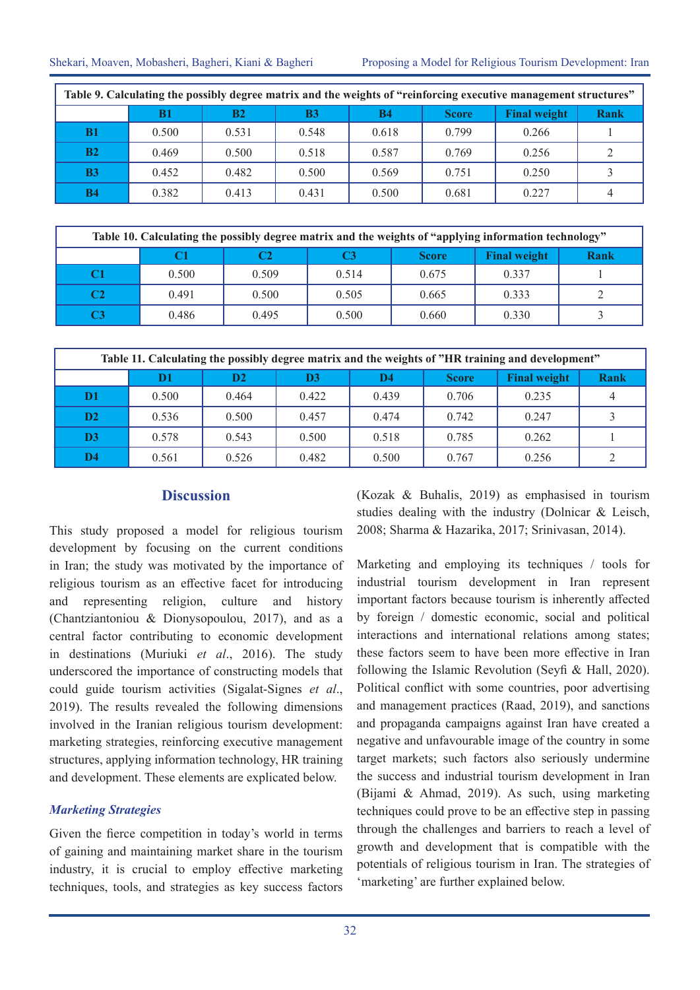Shekari, Moaven, Mobasheri, Bagheri, Kiani & Bagheri Proposing a Model for Religious Tourism Development: Iran

| Table 9. Calculating the possibly degree matrix and the weights of "reinforcing executive management structures" |       |           |           |       |              |                     |             |  |  |  |
|------------------------------------------------------------------------------------------------------------------|-------|-----------|-----------|-------|--------------|---------------------|-------------|--|--|--|
|                                                                                                                  | B1    | <b>B2</b> | <b>B3</b> | B4    | <b>Score</b> | <b>Final weight</b> | <b>Rank</b> |  |  |  |
| B1                                                                                                               | 0.500 | 0.531     | 0.548     | 0.618 | 0.799        | 0.266               |             |  |  |  |
| <b>B2</b>                                                                                                        | 0.469 | 0.500     | 0.518     | 0.587 | 0.769        | 0.256               |             |  |  |  |
| <b>B3</b>                                                                                                        | 0.452 | 0.482     | 0.500     | 0.569 | 0.751        | 0.250               |             |  |  |  |
| <b>B4</b>                                                                                                        | 0.382 | 0.413     | 0.431     | 0.500 | 0.681        | 0.227               |             |  |  |  |

| Table 10. Calculating the possibly degree matrix and the weights of "applying information technology" |       |       |       |              |                     |      |  |  |  |  |  |
|-------------------------------------------------------------------------------------------------------|-------|-------|-------|--------------|---------------------|------|--|--|--|--|--|
|                                                                                                       |       |       |       | <b>Score</b> | <b>Final weight</b> | Rank |  |  |  |  |  |
|                                                                                                       | 0.500 | 0.509 | 0.514 | 0.675        | 0.337               |      |  |  |  |  |  |
|                                                                                                       | 0.491 | 0.500 | 0.505 | 0.665        | 0.333               |      |  |  |  |  |  |
|                                                                                                       | 0.486 | 0.495 | 0.500 | 0.660        | 0.330               |      |  |  |  |  |  |

| Table 11. Calculating the possibly degree matrix and the weights of "HR training and development" |       |                |                |       |              |                     |             |  |  |  |  |
|---------------------------------------------------------------------------------------------------|-------|----------------|----------------|-------|--------------|---------------------|-------------|--|--|--|--|
|                                                                                                   |       | D <sub>2</sub> | D <sub>3</sub> | D4    | <b>Score</b> | <b>Final weight</b> | <b>Rank</b> |  |  |  |  |
| D1                                                                                                | 0.500 | 0.464          | 0.422          | 0.439 | 0.706        | 0.235               |             |  |  |  |  |
| D2                                                                                                | 0.536 | 0.500          | 0.457          | 0.474 | 0.742        | 0.247               |             |  |  |  |  |
| D <sub>3</sub>                                                                                    | 0.578 | 0.543          | 0.500          | 0.518 | 0.785        | 0.262               |             |  |  |  |  |
| D4                                                                                                | 0.561 | 0.526          | 0.482          | 0.500 | 0.767        | 0.256               |             |  |  |  |  |

# **Discussion**

This study proposed a model for religious tourism development by focusing on the current conditions in Iran; the study was motivated by the importance of religious tourism as an effective facet for introducing and representing religion, culture and history (Chantziantoniou & Dionysopoulou, 2017), and as a central factor contributing to economic development in destinations (Muriuki *et al*., 2016). The study underscored the importance of constructing models that could guide tourism activities (Sigalat-Signes *et al*., 2019). The results revealed the following dimensions involved in the Iranian religious tourism development: marketing strategies, reinforcing executive management structures, applying information technology, HR training and development. These elements are explicated below.

# *Marketing Strategies*

Given the fierce competition in today's world in terms of gaining and maintaining market share in the tourism industry, it is crucial to employ effective marketing techniques, tools, and strategies as key success factors (Kozak & Buhalis, 2019) as emphasised in tourism studies dealing with the industry (Dolnicar & Leisch, 2008; Sharma & Hazarika, 2017; Srinivasan, 2014).

Marketing and employing its techniques / tools for industrial tourism development in Iran represent important factors because tourism is inherently affected by foreign / domestic economic, social and political interactions and international relations among states; these factors seem to have been more effective in Iran following the Islamic Revolution (Seyfi & Hall, 2020). Political conflict with some countries, poor advertising and management practices (Raad, 2019), and sanctions and propaganda campaigns against Iran have created a negative and unfavourable image of the country in some target markets; such factors also seriously undermine the success and industrial tourism development in Iran (Bijami & Ahmad, 2019). As such, using marketing techniques could prove to be an effective step in passing through the challenges and barriers to reach a level of growth and development that is compatible with the potentials of religious tourism in Iran. The strategies of 'marketing' are further explained below.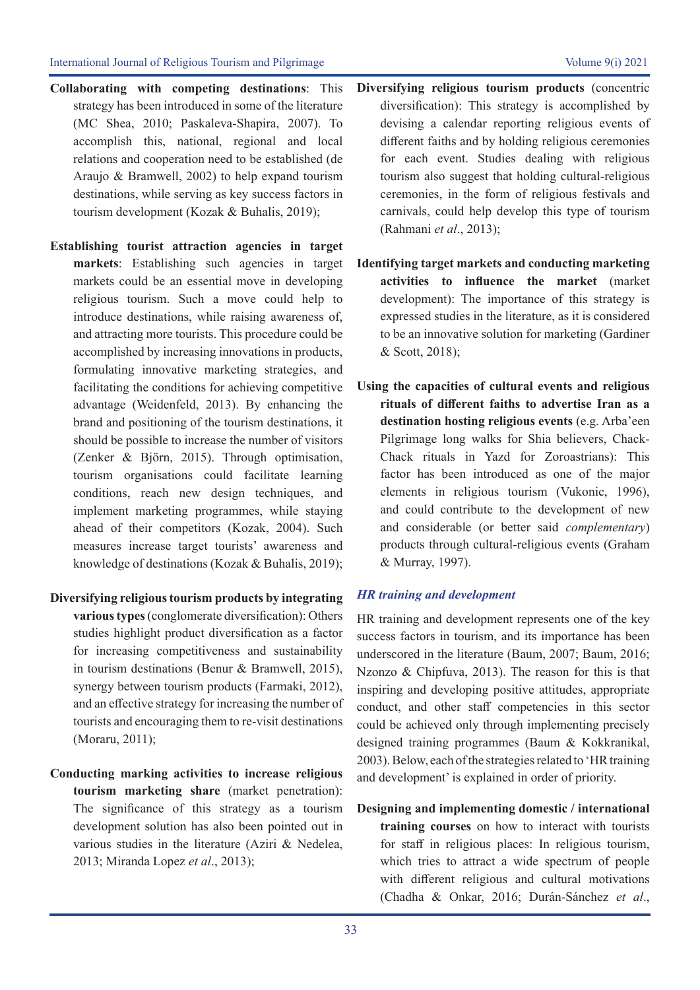- **Collaborating with competing destinations**: This strategy has been introduced in some of the literature (MC Shea, 2010; Paskaleva-Shapira, 2007). To accomplish this, national, regional and local relations and cooperation need to be established (de Araujo & Bramwell, 2002) to help expand tourism destinations, while serving as key success factors in tourism development (Kozak & Buhalis, 2019);
- **Establishing tourist attraction agencies in target markets**: Establishing such agencies in target markets could be an essential move in developing religious tourism. Such a move could help to introduce destinations, while raising awareness of, and attracting more tourists. This procedure could be accomplished by increasing innovations in products, formulating innovative marketing strategies, and facilitating the conditions for achieving competitive advantage (Weidenfeld, 2013). By enhancing the brand and positioning of the tourism destinations, it should be possible to increase the number of visitors (Zenker & Björn, 2015). Through optimisation, tourism organisations could facilitate learning conditions, reach new design techniques, and implement marketing programmes, while staying ahead of their competitors (Kozak, 2004). Such measures increase target tourists' awareness and knowledge of destinations (Kozak & Buhalis, 2019);
- **Diversifying religious tourism products by integrating various types** (conglomerate diversification): Others studies highlight product diversification as a factor for increasing competitiveness and sustainability in tourism destinations (Benur & Bramwell, 2015), synergy between tourism products (Farmaki, 2012), and an effective strategy for increasing the number of tourists and encouraging them to re-visit destinations (Moraru, 2011);
- **Conducting marking activities to increase religious tourism marketing share** (market penetration): The significance of this strategy as a tourism development solution has also been pointed out in various studies in the literature (Aziri & Nedelea, 2013; Miranda Lopez *et al*., 2013);
- **Diversifying religious tourism products** (concentric diversification): This strategy is accomplished by devising a calendar reporting religious events of different faiths and by holding religious ceremonies for each event. Studies dealing with religious tourism also suggest that holding cultural-religious ceremonies, in the form of religious festivals and carnivals, could help develop this type of tourism (Rahmani *et al*., 2013);
- **Identifying target markets and conducting marketing activities to influence the market** (market development): The importance of this strategy is expressed studies in the literature, as it is considered to be an innovative solution for marketing (Gardiner & Scott, 2018);
- **Using the capacities of cultural events and religious rituals of different faiths to advertise Iran as a destination hosting religious events** (e.g. Arba'een Pilgrimage long walks for Shia believers, Chack-Chack rituals in Yazd for Zoroastrians): This factor has been introduced as one of the major elements in religious tourism (Vukonic, 1996), and could contribute to the development of new and considerable (or better said *complementary*) products through cultural-religious events (Graham & Murray, 1997).

## *HR training and development*

HR training and development represents one of the key success factors in tourism, and its importance has been underscored in the literature (Baum, 2007; Baum, 2016; Nzonzo & Chipfuva, 2013). The reason for this is that inspiring and developing positive attitudes, appropriate conduct, and other staff competencies in this sector could be achieved only through implementing precisely designed training programmes (Baum & Kokkranikal, 2003). Below, each of the strategies related to 'HR training and development' is explained in order of priority.

**Designing and implementing domestic / international training courses** on how to interact with tourists for staff in religious places: In religious tourism, which tries to attract a wide spectrum of people with different religious and cultural motivations (Chadha & Onkar, 2016; Durán-Sánchez *et al*.,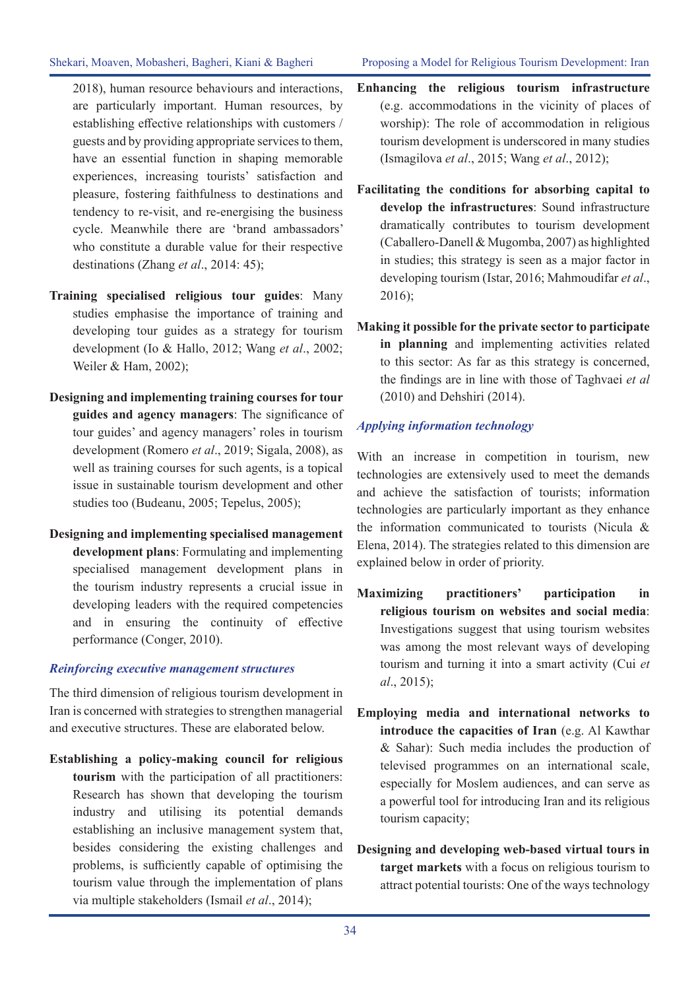2018), human resource behaviours and interactions, are particularly important. Human resources, by establishing effective relationships with customers / guests and by providing appropriate services to them, have an essential function in shaping memorable experiences, increasing tourists' satisfaction and pleasure, fostering faithfulness to destinations and tendency to re-visit, and re-energising the business cycle. Meanwhile there are 'brand ambassadors' who constitute a durable value for their respective destinations (Zhang *et al*., 2014: 45);

- **Training specialised religious tour guides**: Many studies emphasise the importance of training and developing tour guides as a strategy for tourism development (Io & Hallo, 2012; Wang *et al*., 2002; Weiler & Ham, 2002);
- **Designing and implementing training courses for tour guides and agency managers**: The significance of tour guides' and agency managers' roles in tourism development (Romero *et al*., 2019; Sigala, 2008), as well as training courses for such agents, is a topical issue in sustainable tourism development and other studies too (Budeanu, 2005; Tepelus, 2005);
- **Designing and implementing specialised management development plans**: Formulating and implementing specialised management development plans in the tourism industry represents a crucial issue in developing leaders with the required competencies and in ensuring the continuity of effective performance (Conger, 2010).

## *Reinforcing executive management structures*

The third dimension of religious tourism development in Iran is concerned with strategies to strengthen managerial and executive structures. These are elaborated below.

**Establishing a policy-making council for religious tourism** with the participation of all practitioners: Research has shown that developing the tourism industry and utilising its potential demands establishing an inclusive management system that, besides considering the existing challenges and problems, is sufficiently capable of optimising the tourism value through the implementation of plans via multiple stakeholders (Ismail *et al*., 2014);

- **Enhancing the religious tourism infrastructure** (e.g. accommodations in the vicinity of places of worship): The role of accommodation in religious tourism development is underscored in many studies (Ismagilova *et al*., 2015; Wang *et al*., 2012);
- **Facilitating the conditions for absorbing capital to develop the infrastructures**: Sound infrastructure dramatically contributes to tourism development (Caballero-Danell & Mugomba, 2007) as highlighted in studies; this strategy is seen as a major factor in developing tourism (Istar, 2016; Mahmoudifar *et al*., 2016);
- **Making it possible for the private sector to participate in planning** and implementing activities related to this sector: As far as this strategy is concerned, the findings are in line with those of Taghvaei *et al* (2010) and Dehshiri (2014).

# *Applying information technology*

With an increase in competition in tourism, new technologies are extensively used to meet the demands and achieve the satisfaction of tourists; information technologies are particularly important as they enhance the information communicated to tourists (Nicula & Elena, 2014). The strategies related to this dimension are explained below in order of priority.

- **Maximizing practitioners' participation in religious tourism on websites and social media**: Investigations suggest that using tourism websites was among the most relevant ways of developing tourism and turning it into a smart activity (Cui *et al*., 2015);
- **Employing media and international networks to introduce the capacities of Iran** (e.g. Al Kawthar & Sahar): Such media includes the production of televised programmes on an international scale, especially for Moslem audiences, and can serve as a powerful tool for introducing Iran and its religious tourism capacity;
- **Designing and developing web-based virtual tours in target markets** with a focus on religious tourism to attract potential tourists: One of the ways technology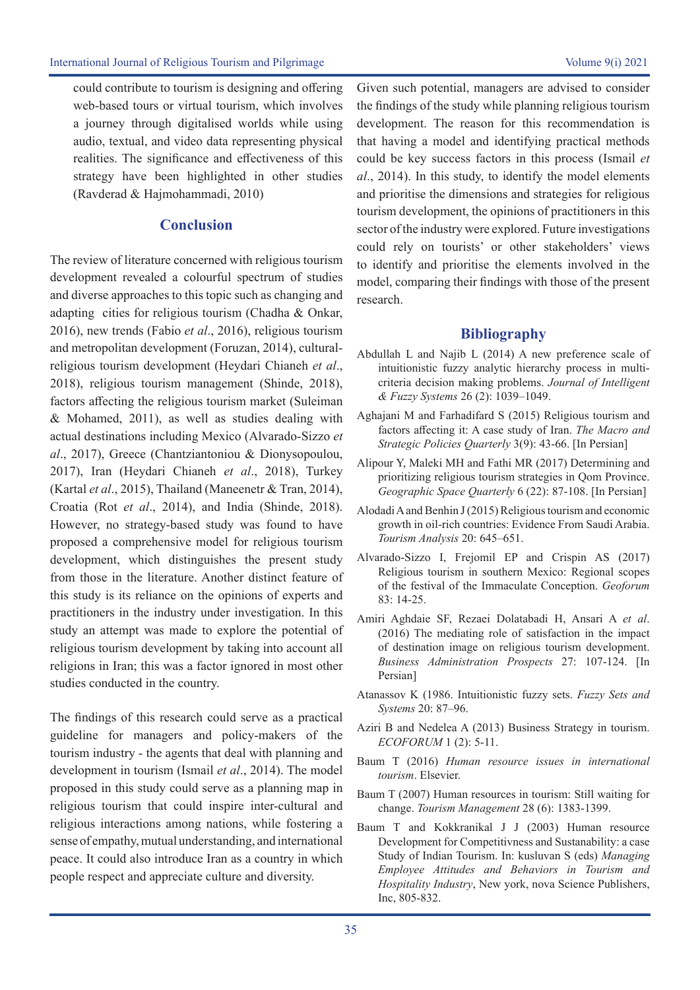could contribute to tourism is designing and offering web-based tours or virtual tourism, which involves a journey through digitalised worlds while using audio, textual, and video data representing physical realities. The significance and effectiveness of this strategy have been highlighted in other studies (Ravderad & Hajmohammadi, 2010)

# **Conclusion**

The review of literature concerned with religious tourism development revealed a colourful spectrum of studies and diverse approaches to this topic such as changing and adapting cities for religious tourism (Chadha & Onkar, 2016), new trends (Fabio *et al*., 2016), religious tourism and metropolitan development (Foruzan, 2014), culturalreligious tourism development (Heydari Chianeh *et al*., 2018), religious tourism management (Shinde, 2018), factors affecting the religious tourism market (Suleiman & Mohamed, 2011), as well as studies dealing with actual destinations including Mexico (Alvarado-Sizzo *et al*., 2017), Greece (Chantziantoniou & Dionysopoulou, 2017), Iran (Heydari Chianeh *et al*., 2018), Turkey (Kartal *et al*., 2015), Thailand (Maneenetr & Tran, 2014), Croatia (Rot *et al*., 2014), and India (Shinde, 2018). However, no strategy-based study was found to have proposed a comprehensive model for religious tourism development, which distinguishes the present study from those in the literature. Another distinct feature of this study is its reliance on the opinions of experts and practitioners in the industry under investigation. In this study an attempt was made to explore the potential of religious tourism development by taking into account all religions in Iran; this was a factor ignored in most other studies conducted in the country.

The findings of this research could serve as a practical guideline for managers and policy-makers of the tourism industry - the agents that deal with planning and development in tourism (Ismail *et al*., 2014). The model proposed in this study could serve as a planning map in religious tourism that could inspire inter-cultural and religious interactions among nations, while fostering a sense of empathy, mutual understanding, and international peace. It could also introduce Iran as a country in which people respect and appreciate culture and diversity.

Given such potential, managers are advised to consider the findings of the study while planning religious tourism development. The reason for this recommendation is that having a model and identifying practical methods could be key success factors in this process (Ismail *et al*., 2014). In this study, to identify the model elements and prioritise the dimensions and strategies for religious tourism development, the opinions of practitioners in this sector of the industry were explored. Future investigations could rely on tourists' or other stakeholders' views to identify and prioritise the elements involved in the model, comparing their findings with those of the present research.

# **Bibliography**

- Abdullah L and Najib L (2014) A new preference scale of intuitionistic fuzzy analytic hierarchy process in multicriteria decision making problems. *Journal of Intelligent & Fuzzy Systems* 26 (2): 1039–1049.
- Aghajani M and Farhadifard S (2015) Religious tourism and factors affecting it: A case study of Iran. *The Macro and Strategic Policies Quarterly* 3(9): 43-66. [In Persian]
- Alipour Y, Maleki MH and Fathi MR (2017) Determining and prioritizing religious tourism strategies in Qom Province. *Geographic Space Quarterly* 6 (22): 87-108. [In Persian]
- Alodadi A and Benhin J (2015) Religious tourism and economic growth in oil-rich countries: Evidence From Saudi Arabia. *Tourism Analysis* 20: 645–651.
- Alvarado-Sizzo I, Frejomil EP and Crispin AS (2017) Religious tourism in southern Mexico: Regional scopes of the festival of the Immaculate Conception. *Geoforum* 83: 14-25.
- Amiri Aghdaie SF, Rezaei Dolatabadi H, Ansari A *et al*. (2016) The mediating role of satisfaction in the impact of destination image on religious tourism development. *Business Administration Prospects* 27: 107-124. [In Persian]
- Atanassov K (1986. Intuitionistic fuzzy sets. *Fuzzy Sets and Systems* 20: 87–96.
- Aziri B and Nedelea A (2013) Business Strategy in tourism. *ECOFORUM* 1 (2): 5-11.
- Baum T (2016) *Human resource issues in international tourism*. Elsevier.
- Baum T (2007) Human resources in tourism: Still waiting for change. *Tourism Management* 28 (6): 1383-1399.
- Baum T and Kokkranikal J J (2003) Human resource Development for Competitivness and Sustanability: a case Study of Indian Tourism. In: kusluvan S (eds) *Managing Employee Attitudes and Behaviors in Tourism and Hospitality Industry*, New york, nova Science Publishers, Inc, 805-832.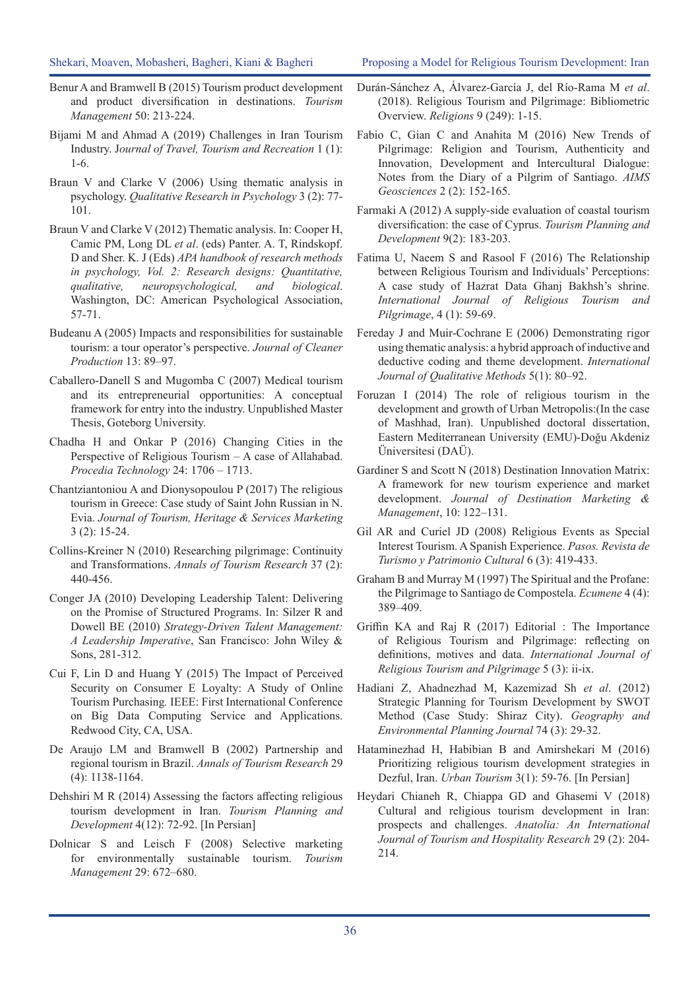- Benur A and Bramwell B (2015) Tourism product development and product diversification in destinations. *Tourism Management* 50: 213-224.
- Bijami M and Ahmad A (2019) Challenges in Iran Tourism Industry. J*ournal of Travel, Tourism and Recreation* 1 (1): 1-6.
- Braun V and Clarke V (2006) Using thematic analysis in psychology. *Qualitative Research in Psychology* 3 (2): 77- 101.
- Braun V and Clarke V (2012) Thematic analysis. In: Cooper H, Camic PM, Long DL *et al*. (eds) Panter. A. T, Rindskopf. D and Sher. K. J (Eds) *APA handbook of research methods in psychology, Vol. 2: Research designs: Quantitative, qualitative, neuropsychological, and biological*. Washington, DC: American Psychological Association, 57-71.
- Budeanu A (2005) Impacts and responsibilities for sustainable tourism: a tour operator's perspective. *Journal of Cleaner Production* 13: 89–97.
- Caballero-Danell S and Mugomba C (2007) Medical tourism and its entrepreneurial opportunities: A conceptual framework for entry into the industry. Unpublished Master Thesis, Goteborg University.
- Chadha H and Onkar P (2016) Changing Cities in the Perspective of Religious Tourism – A case of Allahabad. *Procedia Technology* 24: 1706 – 1713.
- Chantziantoniou A and Dionysopoulou P (2017) The religious tourism in Greece: Case study of Saint John Russian in N. Evia. *Journal of Tourism, Heritage & Services Marketing* 3 (2): 15-24.
- Collins-Kreiner N (2010) Researching pilgrimage: Continuity and Transformations. *Annals of Tourism Research* 37 (2): 440-456.
- Conger JA (2010) Developing Leadership Talent: Delivering on the Promise of Structured Programs. In: Silzer R and Dowell BE (2010) *Strategy-Driven Talent Management: A Leadership Imperative*, San Francisco: John Wiley & Sons, 281-312.
- Cui F, Lin D and Huang Y (2015) The Impact of Perceived Security on Consumer E Loyalty: A Study of Online Tourism Purchasing*.* IEEE: First International Conference on Big Data Computing Service and Applications. Redwood City, CA, USA.
- De Araujo LM and Bramwell B (2002) Partnership and regional tourism in Brazil. *Annals of Tourism Research* 29 (4): 1138-1164.
- Dehshiri M R (2014) Assessing the factors affecting religious tourism development in Iran. *Tourism Planning and Development* 4(12): 72-92. [In Persian]
- Dolnicar S and Leisch F (2008) Selective marketing for environmentally sustainable tourism. *Tourism Management* 29: 672–680.
- Durán-Sánchez A, Álvarez-García J, del Río-Rama M *et al*. (2018). Religious Tourism and Pilgrimage: Bibliometric Overview. *Religions* 9 (249): 1-15.
- Fabio C, Gian C and Anahita M (2016) New Trends of Pilgrimage: Religion and Tourism, Authenticity and Innovation, Development and Intercultural Dialogue: Notes from the Diary of a Pilgrim of Santiago. *AIMS Geosciences* 2 (2): 152-165.
- Farmaki A (2012) A supply-side evaluation of coastal tourism diversification: the case of Cyprus. *Tourism Planning and Development* 9(2): 183-203.
- Fatima U, Naeem S and Rasool F (2016) The Relationship between Religious Tourism and Individuals' Perceptions: A case study of Hazrat Data Ghanj Bakhsh's shrine. *International Journal of Religious Tourism and Pilgrimage*, 4 (1): 59-69.
- Fereday J and Muir-Cochrane E (2006) Demonstrating rigor using thematic analysis: a hybrid approach of inductive and deductive coding and theme development. *International Journal of Qualitative Methods* 5(1): 80–92.
- Foruzan I (2014) The role of religious tourism in the development and growth of Urban Metropolis:(In the case of Mashhad, Iran). Unpublished doctoral dissertation, Eastern Mediterranean University (EMU)-Doğu Akdeniz Üniversitesi (DAÜ).
- Gardiner S and Scott N (2018) Destination Innovation Matrix: A framework for new tourism experience and market development. *Journal of Destination Marketing & Management*, 10: 122–131.
- Gil AR and Curiel JD (2008) Religious Events as Special Interest Tourism. A Spanish Experience. *Pasos. Revista de Turismo y Patrimonio Cultural* 6 (3): 419-433.
- Graham B and Murray M (1997) The Spiritual and the Profane: the Pilgrimage to Santiago de Compostela. *Ecumene* 4 (4): 389–409.
- Griffin KA and Raj R (2017) Editorial : The Importance of Religious Tourism and Pilgrimage: reflecting on definitions, motives and data. *International Journal of Religious Tourism and Pilgrimage* 5 (3): ii-ix.
- Hadiani Z, Ahadnezhad M, Kazemizad Sh *et al*. (2012) Strategic Planning for Tourism Development by SWOT Method (Case Study: Shiraz City). *Geography and Environmental Planning Journal* 74 (3): 29-32.
- Hataminezhad H, Habibian B and Amirshekari M (2016) Prioritizing religious tourism development strategies in Dezful, Iran. *Urban Tourism* 3(1): 59-76. [In Persian]
- Heydari Chianeh R, Chiappa GD and Ghasemi V (2018) Cultural and religious tourism development in Iran: prospects and challenges. *Anatolia: An International Journal of Tourism and Hospitality Research* 29 (2): 204- 214.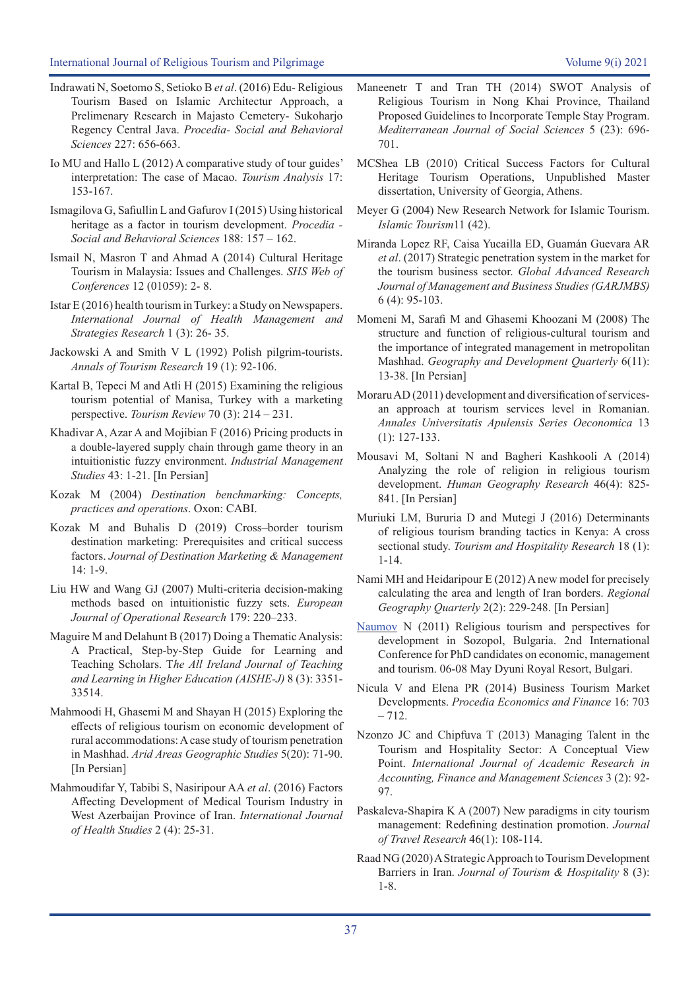- Indrawati N, Soetomo S, Setioko B *et al*. (2016) Edu- Religious Tourism Based on Islamic Architectur Approach, a Prelimenary Research in Majasto Cemetery- Sukoharjo Regency Central Java. *Procedia- Social and Behavioral Sciences* 227: 656-663.
- Io MU and Hallo L (2012) A comparative study of tour guides' interpretation: The case of Macao. *Tourism Analysis* 17: 153-167.
- Ismagilova G, Safiullin L and Gafurov I (2015) Using historical heritage as a factor in tourism development. *Procedia - Social and Behavioral Sciences* 188: 157 – 162.
- Ismail N, Masron T and Ahmad A (2014) Cultural Heritage Tourism in Malaysia: Issues and Challenges. *SHS Web of Conferences* 12 (01059): 2- 8.
- Istar E (2016) health tourism in Turkey: a Study on Newspapers. *International Journal of Health Management and Strategies Research* 1 (3): 26- 35.
- Jackowski A and Smith V L (1992) Polish pilgrim-tourists. *Annals of Tourism Research* 19 (1): 92-106.
- Kartal B, Tepeci M and Atli H (2015) Examining the religious tourism potential of Manisa, Turkey with a marketing perspective. *Tourism Review* 70 (3): 214 – 231.
- Khadivar A, Azar A and Mojibian F (2016) Pricing products in a double-layered supply chain through game theory in an intuitionistic fuzzy environment. *Industrial Management Studies* 43: 1-21. [In Persian]
- Kozak M (2004) *Destination benchmarking: Concepts, practices and operations*. Oxon: CABI.
- Kozak M and Buhalis D (2019) Cross–border tourism destination marketing: Prerequisites and critical success factors. *Journal of Destination Marketing & Management* 14: 1-9.
- Liu HW and Wang GJ (2007) Multi-criteria decision-making methods based on intuitionistic fuzzy sets. *European Journal of Operational Research* 179: 220–233.
- Maguire M and Delahunt B (2017) Doing a Thematic Analysis: A Practical, Step-by-Step Guide for Learning and Teaching Scholars. T*he All Ireland Journal of Teaching and Learning in Higher Education (AISHE-J)* 8 (3): 3351- 33514.
- Mahmoodi H, Ghasemi M and Shayan H (2015) Exploring the effects of religious tourism on economic development of rural accommodations: A case study of tourism penetration in Mashhad. *Arid Areas Geographic Studies* 5(20): 71-90. [In Persian]
- Mahmoudifar Y, Tabibi S, Nasiripour AA *et al*. (2016) Factors Affecting Development of Medical Tourism Industry in West Azerbaijan Province of Iran. *International Journal of Health Studies* 2 (4): 25-31.
- Maneenetr T and Tran TH (2014) SWOT Analysis of Religious Tourism in Nong Khai Province, Thailand Proposed Guidelines to Incorporate Temple Stay Program. *Mediterranean Journal of Social Sciences* 5 (23): 696- 701.
- MCShea LB (2010) Critical Success Factors for Cultural Heritage Tourism Operations, Unpublished Master dissertation, University of Georgia, Athens.
- Meyer G (2004) New Research Network for Islamic Tourism. *Islamic Tourism*11 (42).
- Miranda Lopez RF, Caisa Yucailla ED, Guamán Guevara AR *et al*. (2017) Strategic penetration system in the market for the tourism business sector. *Global Advanced Research Journal of Management and Business Studies (GARJMBS)* 6 (4): 95-103.
- Momeni M, Sarafi M and Ghasemi Khoozani M (2008) The structure and function of religious-cultural tourism and the importance of integrated management in metropolitan Mashhad. *Geography and Development Quarterly* 6(11): 13-38. [In Persian]
- Moraru AD (2011) development and diversification of servicesan approach at tourism services level in Romanian. *Annales Universitatis Apulensis Series Oeconomica* 13 (1): 127-133.
- Mousavi M, Soltani N and Bagheri Kashkooli A (2014) Analyzing the role of religion in religious tourism development. *Human Geography Research* 46(4): 825- 841. [In Persian]
- Muriuki LM, Bururia D and Mutegi J (2016) Determinants of religious tourism branding tactics in Kenya: A cross sectional study. *Tourism and Hospitality Research* 18 (1): 1-14.
- Nami MH and Heidaripour E (2012) A new model for precisely calculating the area and length of Iran borders. *Regional Geography Quarterly* 2(2): 229-248. [In Persian]
- Naumov N (2011) Religious tourism and perspectives for development in Sozopol, Bulgaria. 2nd International Conference for PhD candidates on economic, management and tourism. 06-08 May Dyuni Royal Resort, Bulgari.
- Nicula V and Elena PR (2014) Business Tourism Market Developments. *Procedia Economics and Finance* 16: 703  $-712.$
- Nzonzo JC and Chipfuva T (2013) Managing Talent in the Tourism and Hospitality Sector: A Conceptual View Point. *International Journal of Academic Research in Accounting, Finance and Management Sciences* 3 (2): 92- 97.
- Paskaleva-Shapira K A (2007) New paradigms in city tourism management: Redefining destination promotion. *Journal of Travel Research* 46(1): 108-114.
- Raad NG (2020) A Strategic Approach to Tourism Development Barriers in Iran. *Journal of Tourism & Hospitality* 8 (3): 1-8.